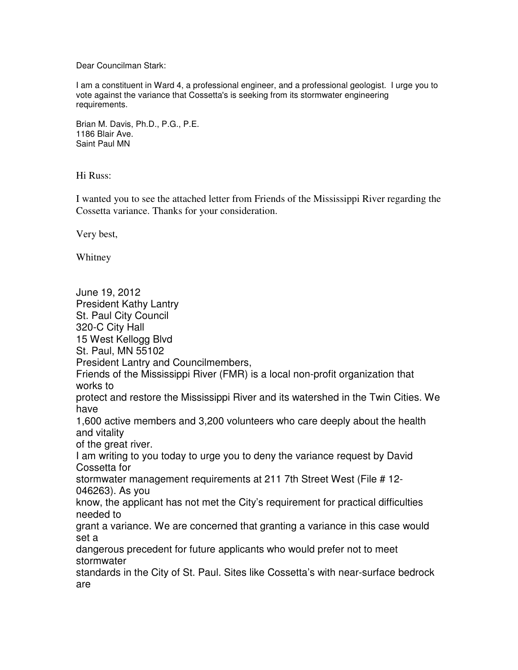Dear Councilman Stark:

I am a constituent in Ward 4, a professional engineer, and a professional geologist. I urge you to vote against the variance that Cossetta's is seeking from its stormwater engineering requirements.

Brian M. Davis, Ph.D., P.G., P.E. 1186 Blair Ave. Saint Paul MN

Hi Russ:

I wanted you to see the attached letter from Friends of the Mississippi River regarding the Cossetta variance. Thanks for your consideration.

Very best,

Whitney

June 19, 2012 President Kathy Lantry St. Paul City Council 320-C City Hall 15 West Kellogg Blvd St. Paul, MN 55102 President Lantry and Councilmembers, Friends of the Mississippi River (FMR) is a local non-profit organization that works to protect and restore the Mississippi River and its watershed in the Twin Cities. We have 1,600 active members and 3,200 volunteers who care deeply about the health and vitality of the great river. I am writing to you today to urge you to deny the variance request by David Cossetta for stormwater management requirements at 211 7th Street West (File # 12- 046263). As you know, the applicant has not met the City's requirement for practical difficulties needed to grant a variance. We are concerned that granting a variance in this case would set a dangerous precedent for future applicants who would prefer not to meet stormwater standards in the City of St. Paul. Sites like Cossetta's with near-surface bedrock are